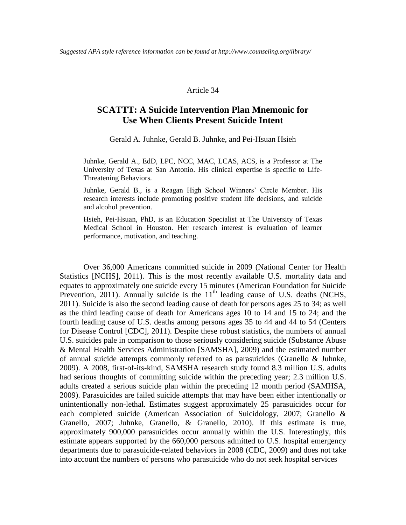#### Article 34

# **SCATTT: A Suicide Intervention Plan Mnemonic for Use When Clients Present Suicide Intent**

Gerald A. Juhnke, Gerald B. Juhnke, and Pei-Hsuan Hsieh

Juhnke, Gerald A., EdD, LPC, NCC, MAC, LCAS, ACS, is a Professor at The University of Texas at San Antonio. His clinical expertise is specific to Life-Threatening Behaviors.

Juhnke, Gerald B., is a Reagan High School Winners' Circle Member. His research interests include promoting positive student life decisions, and suicide and alcohol prevention.

Hsieh, Pei-Hsuan, PhD, is an Education Specialist at The University of Texas Medical School in Houston. Her research interest is evaluation of learner performance, motivation, and teaching.

Over 36,000 Americans committed suicide in 2009 (National Center for Health Statistics [NCHS], 2011). This is the most recently available U.S. mortality data and equates to approximately one suicide every 15 minutes (American Foundation for Suicide Prevention, 2011). Annually suicide is the  $11<sup>th</sup>$  leading cause of U.S. deaths (NCHS, 2011). Suicide is also the second leading cause of death for persons ages 25 to 34; as well as the third leading cause of death for Americans ages 10 to 14 and 15 to 24; and the fourth leading cause of U.S. deaths among persons ages 35 to 44 and 44 to 54 (Centers for Disease Control [CDC], 2011). Despite these robust statistics, the numbers of annual U.S. suicides pale in comparison to those seriously considering suicide (Substance Abuse & Mental Health Services Administration [SAMSHA], 2009) and the estimated number of annual suicide attempts commonly referred to as parasuicides (Granello & Juhnke, 2009). A 2008, first-of-its-kind, SAMSHA research study found 8.3 million U.S. adults had serious thoughts of committing suicide within the preceding year; 2.3 million U.S. adults created a serious suicide plan within the preceding 12 month period (SAMHSA, 2009). Parasuicides are failed suicide attempts that may have been either intentionally or unintentionally non-lethal. Estimates suggest approximately 25 parasuicides occur for each completed suicide (American Association of Suicidology, 2007; Granello & Granello, 2007; Juhnke, Granello, & Granello, 2010). If this estimate is true, approximately 900,000 parasuicides occur annually within the U.S. Interestingly, this estimate appears supported by the 660,000 persons admitted to U.S. hospital emergency departments due to parasuicide-related behaviors in 2008 (CDC, 2009) and does not take into account the numbers of persons who parasuicide who do not seek hospital services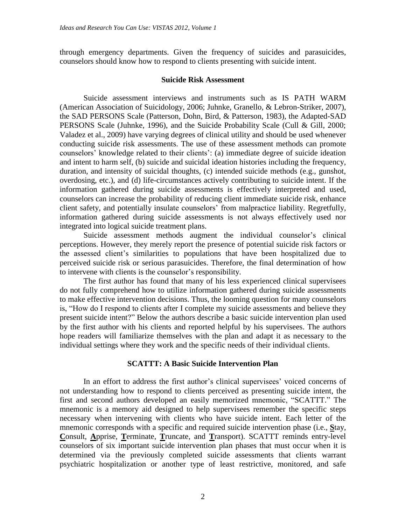through emergency departments. Given the frequency of suicides and parasuicides, counselors should know how to respond to clients presenting with suicide intent.

### **Suicide Risk Assessment**

Suicide assessment interviews and instruments such as IS PATH WARM (American Association of Suicidology, 2006; Juhnke, Granello, & Lebron-Striker, 2007), the SAD PERSONS Scale (Patterson, Dohn, Bird, & Patterson, 1983), the Adapted-SAD PERSONS Scale (Juhnke, 1996), and the Suicide Probability Scale (Cull & Gill, 2000; Valadez et al., 2009) have varying degrees of clinical utility and should be used whenever conducting suicide risk assessments. The use of these assessment methods can promote counselors' knowledge related to their clients': (a) immediate degree of suicide ideation and intent to harm self, (b) suicide and suicidal ideation histories including the frequency, duration, and intensity of suicidal thoughts, (c) intended suicide methods (e.g., gunshot, overdosing, etc.), and (d) life-circumstances actively contributing to suicide intent. If the information gathered during suicide assessments is effectively interpreted and used, counselors can increase the probability of reducing client immediate suicide risk, enhance client safety, and potentially insulate counselors' from malpractice liability. Regretfully, information gathered during suicide assessments is not always effectively used nor integrated into logical suicide treatment plans.

Suicide assessment methods augment the individual counselor's clinical perceptions. However, they merely report the presence of potential suicide risk factors or the assessed client's similarities to populations that have been hospitalized due to perceived suicide risk or serious parasuicides. Therefore, the final determination of how to intervene with clients is the counselor's responsibility.

The first author has found that many of his less experienced clinical supervisees do not fully comprehend how to utilize information gathered during suicide assessments to make effective intervention decisions. Thus, the looming question for many counselors is, "How do I respond to clients after I complete my suicide assessments and believe they present suicide intent?" Below the authors describe a basic suicide intervention plan used by the first author with his clients and reported helpful by his supervisees. The authors hope readers will familiarize themselves with the plan and adapt it as necessary to the individual settings where they work and the specific needs of their individual clients.

#### **SCATTT: A Basic Suicide Intervention Plan**

In an effort to address the first author's clinical supervisees' voiced concerns of not understanding how to respond to clients perceived as presenting suicide intent, the first and second authors developed an easily memorized mnemonic, "SCATTT." The mnemonic is a memory aid designed to help supervisees remember the specific steps necessary when intervening with clients who have suicide intent. Each letter of the mnemonic corresponds with a specific and required suicide intervention phase (i.e., **S**tay, **C**onsult, **A**pprise, **T**erminate, **T**runcate, and **T**ransport). SCATTT reminds entry-level counselors of six important suicide intervention plan phases that must occur when it is determined via the previously completed suicide assessments that clients warrant psychiatric hospitalization or another type of least restrictive, monitored, and safe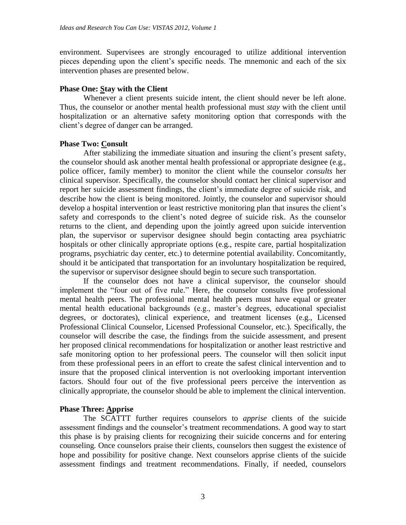environment. Supervisees are strongly encouraged to utilize additional intervention pieces depending upon the client's specific needs. The mnemonic and each of the six intervention phases are presented below.

# **Phase One: Stay with the Client**

Whenever a client presents suicide intent, the client should never be left alone. Thus, the counselor or another mental health professional must *stay* with the client until hospitalization or an alternative safety monitoring option that corresponds with the client's degree of danger can be arranged.

# **Phase Two: Consult**

After stabilizing the immediate situation and insuring the client's present safety, the counselor should ask another mental health professional or appropriate designee (e.g., police officer, family member) to monitor the client while the counselor *consults* her clinical supervisor. Specifically, the counselor should contact her clinical supervisor and report her suicide assessment findings, the client's immediate degree of suicide risk, and describe how the client is being monitored. Jointly, the counselor and supervisor should develop a hospital intervention or least restrictive monitoring plan that insures the client's safety and corresponds to the client's noted degree of suicide risk. As the counselor returns to the client, and depending upon the jointly agreed upon suicide intervention plan, the supervisor or supervisor designee should begin contacting area psychiatric hospitals or other clinically appropriate options (e.g., respite care, partial hospitalization programs, psychiatric day center, etc.) to determine potential availability. Concomitantly, should it be anticipated that transportation for an involuntary hospitalization be required, the supervisor or supervisor designee should begin to secure such transportation.

If the counselor does not have a clinical supervisor, the counselor should implement the "four out of five rule." Here, the counselor consults five professional mental health peers. The professional mental health peers must have equal or greater mental health educational backgrounds (e.g., master's degrees, educational specialist degrees, or doctorates), clinical experience, and treatment licenses (e.g., Licensed Professional Clinical Counselor, Licensed Professional Counselor, etc.). Specifically, the counselor will describe the case, the findings from the suicide assessment, and present her proposed clinical recommendations for hospitalization or another least restrictive and safe monitoring option to her professional peers. The counselor will then solicit input from these professional peers in an effort to create the safest clinical intervention and to insure that the proposed clinical intervention is not overlooking important intervention factors. Should four out of the five professional peers perceive the intervention as clinically appropriate, the counselor should be able to implement the clinical intervention.

# **Phase Three: Apprise**

The SCATTT further requires counselors to *apprise* clients of the suicide assessment findings and the counselor's treatment recommendations. A good way to start this phase is by praising clients for recognizing their suicide concerns and for entering counseling. Once counselors praise their clients, counselors then suggest the existence of hope and possibility for positive change. Next counselors apprise clients of the suicide assessment findings and treatment recommendations. Finally, if needed, counselors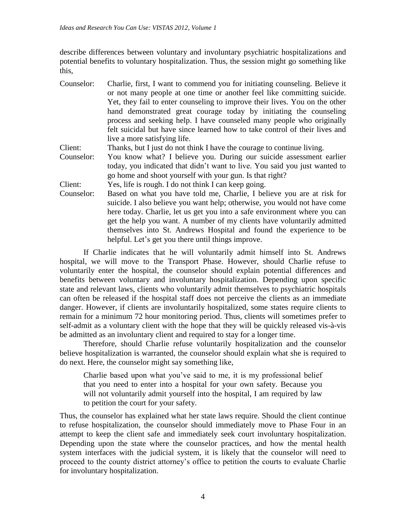describe differences between voluntary and involuntary psychiatric hospitalizations and potential benefits to voluntary hospitalization. Thus, the session might go something like this,

Counselor: Charlie, first, I want to commend you for initiating counseling. Believe it or not many people at one time or another feel like committing suicide. Yet, they fail to enter counseling to improve their lives. You on the other hand demonstrated great courage today by initiating the counseling process and seeking help. I have counseled many people who originally felt suicidal but have since learned how to take control of their lives and live a more satisfying life. Client: Thanks, but I just do not think I have the courage to continue living. Counselor: You know what? I believe you. During our suicide assessment earlier today, you indicated that didn't want to live. You said you just wanted to go home and shoot yourself with your gun. Is that right? Client: Yes, life is rough. I do not think I can keep going. Counselor: Based on what you have told me, Charlie, I believe you are at risk for suicide. I also believe you want help; otherwise, you would not have come here today. Charlie, let us get you into a safe environment where you can

get the help you want. A number of my clients have voluntarily admitted themselves into St. Andrews Hospital and found the experience to be helpful. Let's get you there until things improve.

If Charlie indicates that he will voluntarily admit himself into St. Andrews hospital, we will move to the Transport Phase. However, should Charlie refuse to voluntarily enter the hospital, the counselor should explain potential differences and benefits between voluntary and involuntary hospitalization. Depending upon specific state and relevant laws, clients who voluntarily admit themselves to psychiatric hospitals can often be released if the hospital staff does not perceive the clients as an immediate danger. However, if clients are involuntarily hospitalized, some states require clients to remain for a minimum 72 hour monitoring period. Thus, clients will sometimes prefer to self-admit as a voluntary client with the hope that they will be quickly released vis-à-vis be admitted as an involuntary client and required to stay for a longer time.

Therefore, should Charlie refuse voluntarily hospitalization and the counselor believe hospitalization is warranted, the counselor should explain what she is required to do next. Here, the counselor might say something like,

Charlie based upon what you've said to me, it is my professional belief that you need to enter into a hospital for your own safety. Because you will not voluntarily admit yourself into the hospital, I am required by law to petition the court for your safety.

Thus, the counselor has explained what her state laws require. Should the client continue to refuse hospitalization, the counselor should immediately move to Phase Four in an attempt to keep the client safe and immediately seek court involuntary hospitalization. Depending upon the state where the counselor practices, and how the mental health system interfaces with the judicial system, it is likely that the counselor will need to proceed to the county district attorney's office to petition the courts to evaluate Charlie for involuntary hospitalization.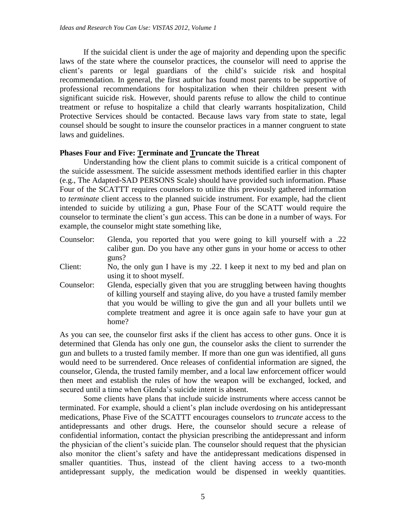If the suicidal client is under the age of majority and depending upon the specific laws of the state where the counselor practices, the counselor will need to apprise the client's parents or legal guardians of the child's suicide risk and hospital recommendation. In general, the first author has found most parents to be supportive of professional recommendations for hospitalization when their children present with significant suicide risk. However, should parents refuse to allow the child to continue treatment or refuse to hospitalize a child that clearly warrants hospitalization, Child Protective Services should be contacted. Because laws vary from state to state, legal counsel should be sought to insure the counselor practices in a manner congruent to state laws and guidelines.

## **Phases Four and Five: Terminate and Truncate the Threat**

Understanding how the client plans to commit suicide is a critical component of the suicide assessment. The suicide assessment methods identified earlier in this chapter (e.g., The Adapted-SAD PERSONS Scale) should have provided such information. Phase Four of the SCATTT requires counselors to utilize this previously gathered information to *terminate* client access to the planned suicide instrument. For example, had the client intended to suicide by utilizing a gun, Phase Four of the SCATT would require the counselor to terminate the client's gun access. This can be done in a number of ways. For example, the counselor might state something like,

- Counselor: Glenda, you reported that you were going to kill yourself with a .22 caliber gun. Do you have any other guns in your home or access to other guns?
- Client: No, the only gun I have is my .22. I keep it next to my bed and plan on using it to shoot myself.
- Counselor: Glenda, especially given that you are struggling between having thoughts of killing yourself and staying alive, do you have a trusted family member that you would be willing to give the gun and all your bullets until we complete treatment and agree it is once again safe to have your gun at home?

As you can see, the counselor first asks if the client has access to other guns. Once it is determined that Glenda has only one gun, the counselor asks the client to surrender the gun and bullets to a trusted family member. If more than one gun was identified, all guns would need to be surrendered. Once releases of confidential information are signed, the counselor, Glenda, the trusted family member, and a local law enforcement officer would then meet and establish the rules of how the weapon will be exchanged, locked, and secured until a time when Glenda's suicide intent is absent.

Some clients have plans that include suicide instruments where access cannot be terminated. For example, should a client's plan include overdosing on his antidepressant medications, Phase Five of the SCATTT encourages counselors to *truncate* access to the antidepressants and other drugs. Here, the counselor should secure a release of confidential information, contact the physician prescribing the antidepressant and inform the physician of the client's suicide plan. The counselor should request that the physician also monitor the client's safety and have the antidepressant medications dispensed in smaller quantities. Thus, instead of the client having access to a two-month antidepressant supply, the medication would be dispensed in weekly quantities.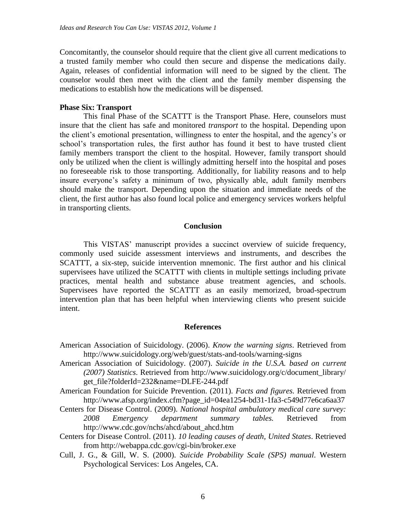Concomitantly, the counselor should require that the client give all current medications to a trusted family member who could then secure and dispense the medications daily. Again, releases of confidential information will need to be signed by the client. The counselor would then meet with the client and the family member dispensing the medications to establish how the medications will be dispensed.

## **Phase Six: Transport**

This final Phase of the SCATTT is the Transport Phase. Here, counselors must insure that the client has safe and monitored *transport* to the hospital. Depending upon the client's emotional presentation, willingness to enter the hospital, and the agency's or school's transportation rules, the first author has found it best to have trusted client family members transport the client to the hospital. However, family transport should only be utilized when the client is willingly admitting herself into the hospital and poses no foreseeable risk to those transporting. Additionally, for liability reasons and to help insure everyone's safety a minimum of two, physically able, adult family members should make the transport. Depending upon the situation and immediate needs of the client, the first author has also found local police and emergency services workers helpful in transporting clients.

### **Conclusion**

This VISTAS' manuscript provides a succinct overview of suicide frequency, commonly used suicide assessment interviews and instruments, and describes the SCATTT, a six-step, suicide intervention mnemonic. The first author and his clinical supervisees have utilized the SCATTT with clients in multiple settings including private practices, mental health and substance abuse treatment agencies, and schools. Supervisees have reported the SCATTT as an easily memorized, broad-spectrum intervention plan that has been helpful when interviewing clients who present suicide intent.

#### **References**

- American Association of Suicidology. (2006). *Know the warning signs*. Retrieved from http://www.suicidology.org/web/guest/stats-and-tools/warning-signs
- American Association of Suicidology. (2007). *Suicide in the U.S.A. based on current (2007) Statistics*. Retrieved from http://www.suicidology.org/c/document\_library/ get\_file?folderId=232&name=DLFE-244.pdf
- American Foundation for Suicide Prevention. (2011). *Facts and figures.* Retrieved from http://www.afsp.org/index.cfm?page\_id=04ea1254-bd31-1fa3-c549d77e6ca6aa37
- Centers for Disease Control. (2009). *National hospital ambulatory medical care survey: 2008 Emergency department summary tables.* Retrieved from http://www.cdc.gov/nchs/ahcd/about\_ahcd.htm
- Centers for Disease Control. (2011). *10 leading causes of death, United States*. Retrieved from http://webappa.cdc.gov/cgi-bin/broker.exe
- Cull, J. G., & Gill, W. S. (2000). *Suicide Probability Scale (SPS) manual*. Western Psychological Services: Los Angeles, CA.